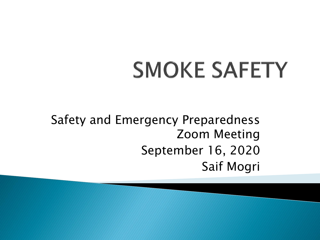# **SMOKE SAFETY**

Safety and Emergency Preparedness Zoom Meeting September 16, 2020 Saif Mogri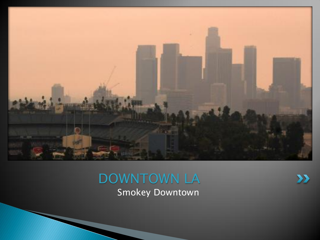

#### Smokey Downtown DOWNTOWN LA

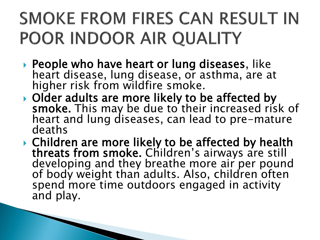#### SMOKE FROM FIRES CAN RESULT IN POOR INDOOR AIR QUALITY

- ▶ People who have heart or lung diseases, like heart disease, lung disease, or asthma, are at higher risk from wildfire smoke.
- ▶ Older adults are more likely to be affected by smoke. This may be due to their increased risk of heart and lung diseases, can lead to pre-mature deaths
- ▶ Children are more likely to be affected by health threats from smoke. Children's airways are still developing and they breathe more air per pound of body weight than adults. Also, children often spend more time outdoors engaged in activity and play.

and the contract of the contract of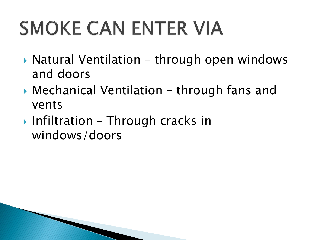## **SMOKE CAN ENTER VIA**

- ▶ Natural Ventilation through open windows and doors
- ▶ Mechanical Ventilation through fans and vents
- Infiltration Through cracks in windows/doors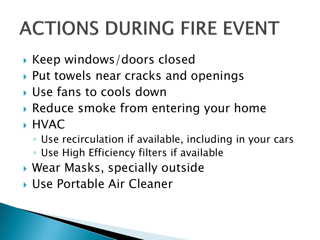## **ACTIONS DURING FIRE EVENT**

- Keep windows/doors closed
- ▶ Put towels near cracks and openings
- Use fans to cools down
- ▶ Reduce smoke from entering your home
- HVAC
	- Use recirculation if available, including in your cars
	- Use High Efficiency filters if available
- Wear Masks, specially outside
- Use Portable Air Cleaner